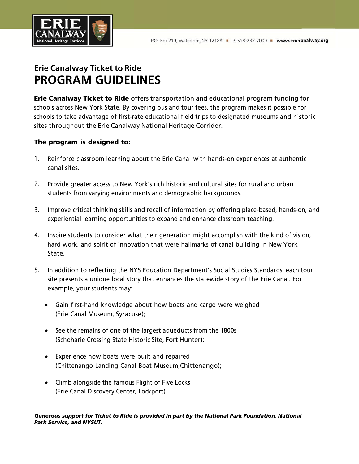

# **Erie Canalway Ticket to Ride PROGRAM GUIDELINES**

Erie Canalway Ticket to Ride offers transportation and educational program funding for schools across New York State. By covering bus and tour fees, the program makes it possible for schools to take advantage of first-rate educational field trips to designated museums and historic sites throughout the Erie Canalway National Heritage Corridor.

### The program is designed to:

- 1. Reinforce classroom learning about the Erie Canal with hands-on experiences at authentic canal sites.
- 2. Provide greater access to New York's rich historic and cultural sites for rural and urban students from varying environments and demographic backgrounds.
- 3. Improve critical thinking skills and recall of information by offering place-based, hands-on, and experiential learning opportunities to expand and enhance classroom teaching.
- 4. Inspire students to consider what their generation might accomplish with the kind of vision, hard work, and spirit of innovation that were hallmarks of canal building in New York State.
- 5. In addition to reflecting the NYS Education Department's Social Studies Standards, each tour site presents a unique local story that enhances the statewide story of the Erie Canal. For example, your students may:
	- Gain first-hand knowledge about how boats and cargo were weighed (Erie Canal Museum, Syracuse);
	- See the remains of one of the largest aqueducts from the 1800s (Schoharie Crossing State Historic Site, Fort Hunter);
	- Experience how boats were built and repaired (Chittenango Landing Canal Boat Museum,Chittenango);
	- Climb alongside the famous Flight of Five Locks (Erie Canal Discovery Center, Lockport).

#### *Generous support for Ticket to Ride is provided in part by the National Park Foundation, National Park Service, and NYSUT.*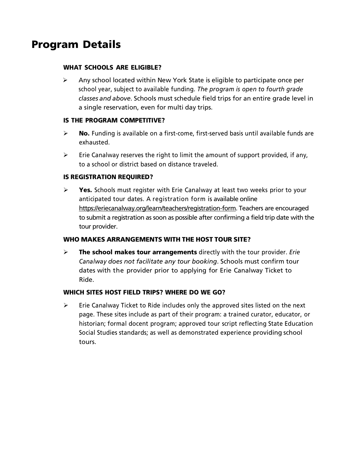# Program Details

### WHAT SCHOOLS ARE ELIGIBLE?

 $\triangleright$  Any school located within New York State is eligible to participate once per school year, subject to available funding. *The program is open to fourth grade classes and above.* Schools must schedule field trips for an entire grade level in a single reservation, even for multi day trips.

### IS THE PROGRAM COMPETITIVE?

- $\triangleright$  **No.** Funding is available on a first-come, first-served basis until available funds are exhausted.
- $\triangleright$  Erie Canalway reserves the right to limit the amount of support provided, if any, to a school or district based on distance traveled.

#### IS REGISTRATION REQUIRED?

 $\triangleright$  Yes. Schools must register with Erie Canalway at least two weeks prior to your anticipated tour dates. A registration form is available online [https://eriecanalway.org/learn/teachers/registration-form.](https://eriecanalway.org/learn/teachers/registration-form) Teachers are encouraged to submit a registration as soon as possible after confirming a field trip date with the tour provider.

### WHO MAKES ARRANGEMENTS WITH THE HOST TOUR SITE?

 The school makes tour arrangements directly with the tour provider. *Erie Canalway does not facilitate any tour booking*. Schools must confirm tour dates with the provider prior to applying for Erie Canalway Ticket to Ride.

### WHICH SITES HOST FIELD TRIPS? WHERE DO WE GO?

 $\triangleright$  Erie Canalway Ticket to Ride includes only the approved sites listed on the next page. These sites include as part of their program: a trained curator, educator, or historian; formal docent program; approved tour script reflecting State Education Social Studies standards; as well as demonstrated experience providing school tours.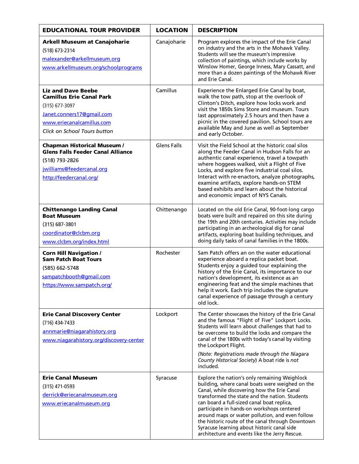| <b>EDUCATIONAL TOUR PROVIDER</b>                                                                                                                                           | <b>LOCATION</b>    | <b>DESCRIPTION</b>                                                                                                                                                                                                                                                                                                                                                                                                                                                                                    |
|----------------------------------------------------------------------------------------------------------------------------------------------------------------------------|--------------------|-------------------------------------------------------------------------------------------------------------------------------------------------------------------------------------------------------------------------------------------------------------------------------------------------------------------------------------------------------------------------------------------------------------------------------------------------------------------------------------------------------|
| <b>Arkell Museum at Canajoharie</b><br>(518) 673-2314<br>malexander@arkellmuseum.org<br>www.arkellmuseum.org/schoolprograms                                                | Canajoharie        | Program explores the impact of the Erie Canal<br>on industry and the arts in the Mohawk Valley.<br>Students will see the museum's impressive<br>collection of paintings, which include works by<br>Winslow Homer, George Inness, Mary Cassatt, and<br>more than a dozen paintings of the Mohawk River<br>and Erie Canal.                                                                                                                                                                              |
| <b>Liz and Dave Beebe</b><br><b>Camillus Erie Canal Park</b><br>$(315)$ 677-3097<br>Janet.conners17@gmail.com<br>www.eriecanalcamillus.com<br>Click on School Tours button | Camillus           | Experience the Enlarged Erie Canal by boat,<br>walk the tow path, stop at the overlook of<br>Clinton's Ditch, explore how locks work and<br>visit the 1850s Sims Store and museum. Tours<br>last approximately 2.5 hours and then have a<br>picnic in the covered pavilion. School tours are<br>available May and June as well as September<br>and early October.                                                                                                                                     |
| <b>Chapman Historical Museum /</b><br><b>Glens Falls Feeder Canal Alliance</b><br>(518) 793-2826<br>jwilliams@feedercanal.org<br>http://feedercanal.org/                   | <b>Glens Falls</b> | Visit the Field School at the historic coal silos<br>along the Feeder Canal in Hudson Falls for an<br>authentic canal experience, travel a towpath<br>where hoggees walked, visit a Flight of Five<br>Locks, and explore five industrial coal silos.<br>Interact with re-enactors, analyze photographs,<br>examine artifacts, explore hands-on STEM<br>based exhibits and learn about the historical<br>and economic impact of NYS Canals.                                                            |
| <b>Chittenango Landing Canal</b><br><b>Boat Museum</b><br>$(315)$ 687-3801<br>coordinator@clcbm.org<br>www.clcbm.org/index.html                                            | Chittenango        | Located on the old Erie Canal, 90-foot-long cargo<br>boats were built and repaired on this site during<br>the 19th and 20th centuries. Activities may include<br>participating in an archeological dig for canal<br>artifacts, exploring boat building techniques, and<br>doing daily tasks of canal families in the 1800s.                                                                                                                                                                           |
| <b>Corn Hill Navigation /</b><br><b>Sam Patch Boat Tours</b><br>(585) 662-5748<br>sampatchbooth@qmail.com<br>https://www.sampatch.org/                                     | Rochester          | Sam Patch offers an on the water educational<br>experience aboard a replica packet boat.<br>Students enjoy a guided tour explaining the<br>history of the Erie Canal, its importance to our<br>nation's development, its existence as an<br>engineering feat and the simple machines that<br>help it work. Each trip includes the signature<br>canal experience of passage through a century<br>old lock.                                                                                             |
| <b>Erie Canal Discovery Center</b><br>$(716)$ 434-7433<br>annmarie@niagarahistory.org<br>www.niagarahistory.org/discovery-center                                           | Lockport           | The Center showcases the history of the Erie Canal<br>and the famous "Flight of Five" Lockport Locks.<br>Students will learn about challenges that had to<br>be overcome to build the locks and compare the<br>canal of the 1800s with today's canal by visiting<br>the Lockport Flight.<br>(Note: Registrations made through the Niagara<br>County Historical Society) A boat ride is not<br>included.                                                                                               |
| <b>Erie Canal Museum</b><br>$(315)$ 471-0593<br>derrick@eriecanalmuseum.org<br>www.eriecanalmuseum.org                                                                     | Syracuse           | Explore the nation's only remaining Weighlock<br>building, where canal boats were weighed on the<br>Canal, while discovering how the Erie Canal<br>transformed the state and the nation. Students<br>can board a full-sized canal boat replica,<br>participate in hands-on workshops centered<br>around maps or water pollution, and even follow<br>the historic route of the canal through Downtown<br>Syracuse learning about historic canal side<br>architecture and events like the Jerry Rescue. |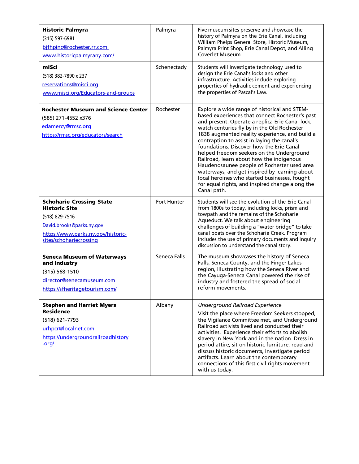| <b>Historic Palmyra</b><br>(315) 597-6981<br>bifhpinc@rochester.rr.com<br>www.historicpalmyrany.com/                                                                    | Palmyra      | Five museum sites preserve and showcase the<br>history of Palmyra on the Erie Canal, including<br>William Phelps General Store, Historic Museum,<br>Palmyra Print Shop, Erie Canal Depot, and Alling<br>Coverlet Museum.                                                                                                                                                                                                                                                                                                                                                                                                                                   |
|-------------------------------------------------------------------------------------------------------------------------------------------------------------------------|--------------|------------------------------------------------------------------------------------------------------------------------------------------------------------------------------------------------------------------------------------------------------------------------------------------------------------------------------------------------------------------------------------------------------------------------------------------------------------------------------------------------------------------------------------------------------------------------------------------------------------------------------------------------------------|
| miSci<br>(518) 382-7890 x 237<br>reservations@misci.org<br>www.misci.org/Educators-and-groups                                                                           | Schenectady  | Students will investigate technology used to<br>design the Erie Canal's locks and other<br>infrastructure. Activities include exploring<br>properties of hydraulic cement and experiencing<br>the properties of Pascal's Law.                                                                                                                                                                                                                                                                                                                                                                                                                              |
| <b>Rochester Museum and Science Center</b><br>(585) 271-4552 x376<br>edamercy@rmsc.org<br>https://rmsc.org/educators/search                                             | Rochester    | Explore a wide range of historical and STEM-<br>based experiences that connect Rochester's past<br>and present. Operate a replica Erie Canal lock,<br>watch centuries fly by in the Old Rochester<br>1838 augmented reality experience, and build a<br>contraption to assist in laying the canal's<br>foundations. Discover how the Erie Canal<br>helped freedom seekers on the Underground<br>Railroad, learn about how the indigenous<br>Haudenosaunee people of Rochester used area<br>waterways, and get inspired by learning about<br>local heroines who started businesses, fought<br>for equal rights, and inspired change along the<br>Canal path. |
| <b>Schoharie Crossing State</b><br><b>Historic Site</b><br>(518) 829-7516<br>David.brooks@parks.ny.gov<br>https://www.parks.ny.gov/historic-<br>sites/schohariecrossing | Fort Hunter  | Students will see the evolution of the Erie Canal<br>from 1800s to today, including locks, prism and<br>towpath and the remains of the Schoharie<br>Aqueduct. We talk about engineering<br>challenges of building a "water bridge" to take<br>canal boats over the Schoharie Creek. Program<br>includes the use of primary documents and inquiry<br>discussion to understand the canal story.                                                                                                                                                                                                                                                              |
| <b>Seneca Museum of Waterways</b><br>and Industry<br>(315) 568-1510<br>director@senecamuseum.com<br>https://sfheritagetourism.com/                                      | Seneca Falls | The museum showcases the history of Seneca<br>Falls, Seneca County, and the Finger Lakes<br>region, illustrating how the Seneca River and<br>the Cayuga-Seneca Canal powered the rise of<br>industry and fostered the spread of social<br>reform movements.                                                                                                                                                                                                                                                                                                                                                                                                |
| <b>Stephen and Harriet Myers</b><br><b>Residence</b><br>(518) 621-7793<br>urhpcr@localnet.com<br>https://undergroundrailroadhistory<br>.org/                            | Albany       | <b>Underground Railroad Experience</b><br>Visit the place where Freedom Seekers stopped,<br>the Vigilance Committee met, and Underground<br>Railroad activists lived and conducted their<br>activities. Experience their efforts to abolish<br>slavery in New York and in the nation. Dress in<br>period attire, sit on historic furniture, read and<br>discuss historic documents, investigate period<br>artifacts. Learn about the contemporary<br>connections of this first civil rights movement<br>with us today.                                                                                                                                     |